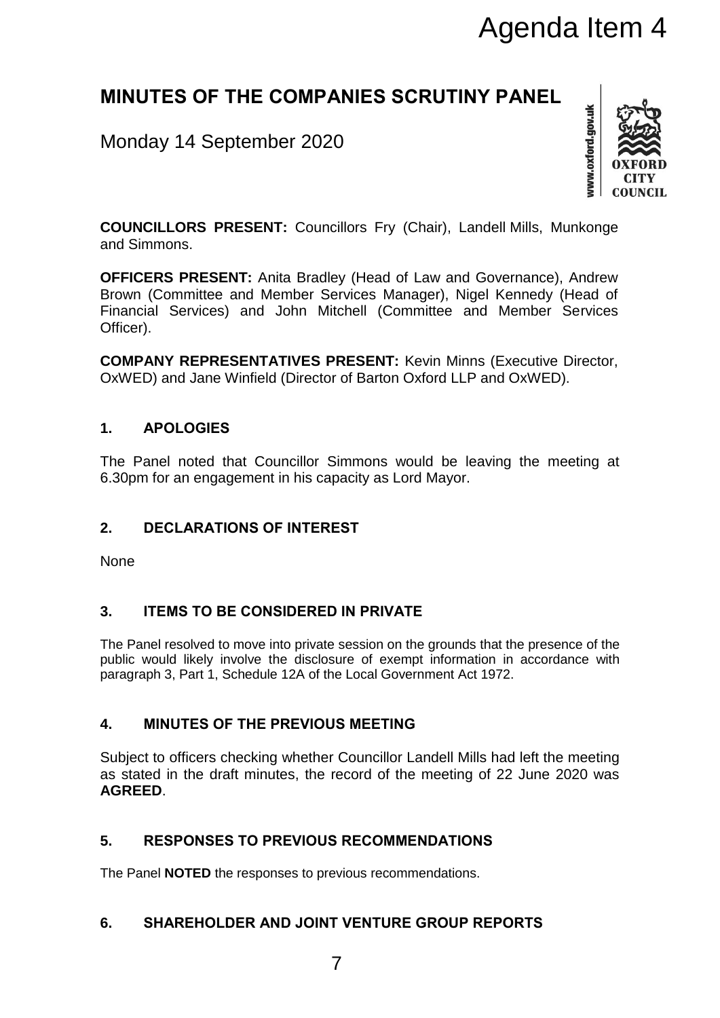# Agenda Item 4

# **MINUTES OF THE COMPANIES SCRUTINY PANEL**

# Monday 14 September 2020



**COUNCILLORS PRESENT:** Councillors Fry (Chair), Landell Mills, Munkonge and Simmons.

**OFFICERS PRESENT:** Anita Bradley (Head of Law and Governance), Andrew Brown (Committee and Member Services Manager), Nigel Kennedy (Head of Financial Services) and John Mitchell (Committee and Member Services Officer).

**COMPANY REPRESENTATIVES PRESENT:** Kevin Minns (Executive Director, OxWED) and Jane Winfield (Director of Barton Oxford LLP and OxWED).

## **1. APOLOGIES**

The Panel noted that Councillor Simmons would be leaving the meeting at 6.30pm for an engagement in his capacity as Lord Mayor.

# **2. DECLARATIONS OF INTEREST**

None

# **3. ITEMS TO BE CONSIDERED IN PRIVATE**

The Panel resolved to move into private session on the grounds that the presence of the public would likely involve the disclosure of exempt information in accordance with paragraph 3, Part 1, Schedule 12A of the Local Government Act 1972.

# **4. MINUTES OF THE PREVIOUS MEETING**

Subject to officers checking whether Councillor Landell Mills had left the meeting as stated in the draft minutes, the record of the meeting of 22 June 2020 was **AGREED**.

### **5. RESPONSES TO PREVIOUS RECOMMENDATIONS**

The Panel **NOTED** the responses to previous recommendations.

### **6. SHAREHOLDER AND JOINT VENTURE GROUP REPORTS**